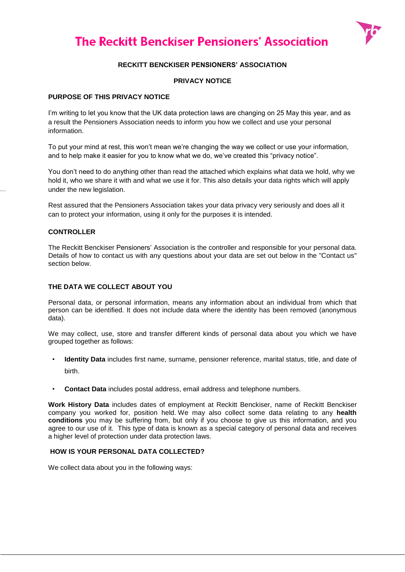# **The Reckitt Benckiser Pensioners' Association**



# **RECKITT BENCKISER PENSIONERS' ASSOCIATION**

## **PRIVACY NOTICE**

#### **PURPOSE OF THIS PRIVACY NOTICE**

I'm writing to let you know that the UK data protection laws are changing on 25 May this year, and as a result the Pensioners Association needs to inform you how we collect and use your personal information.

To put your mind at rest, this won't mean we're changing the way we collect or use your information, and to help make it easier for you to know what we do, we've created this "privacy notice".

You don't need to do anything other than read the attached which explains what data we hold, why we hold it, who we share it with and what we use it for. This also details your data rights which will apply under the new legislation.

Rest assured that the Pensioners Association takes your data privacy very seriously and does all it can to protect your information, using it only for the purposes it is intended.

#### **CONTROLLER**

The Reckitt Benckiser Pensioners' Association is the controller and responsible for your personal data. Details of how to contact us with any questions about your data are set out below in the "Contact us" section below.

## **THE DATA WE COLLECT ABOUT YOU**

Personal data, or personal information, means any information about an individual from which that person can be identified. It does not include data where the identity has been removed (anonymous data).

We may collect, use, store and transfer different kinds of personal data about you which we have grouped together as follows:

- **Identity Data** includes first name, surname, pensioner reference, marital status, title, and date of birth.
- **Contact Data** includes postal address, email address and telephone numbers.

**Work History Data** includes dates of employment at Reckitt Benckiser, name of Reckitt Benckiser company you worked for, position held. We may also collect some data relating to any **health conditions** you may be suffering from, but only if you choose to give us this information, and you agree to our use of it. This type of data is known as a special category of personal data and receives a higher level of protection under data protection laws.

#### **HOW IS YOUR PERSONAL DATA COLLECTED?**

We collect data about you in the following ways: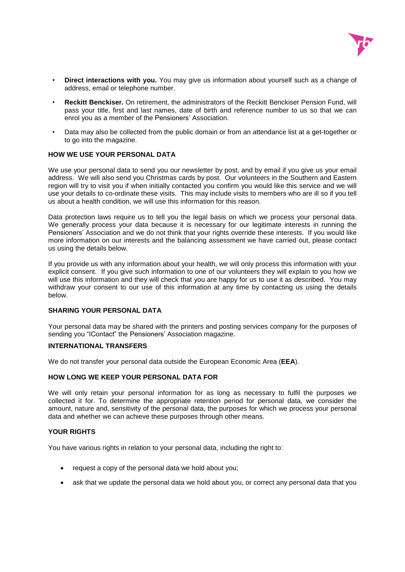

- **Direct interactions with you.** You may give us information about yourself such as a change of address, email or telephone number.
- **Reckitt Benckiser.** On retirement, the administrators of the Reckitt Benckiser Pension Fund, will pass your title, first and last names, date of birth and reference number to us so that we can enrol you as a member of the Pensioners' Association.
- Data may also be collected from the public domain or from an attendance list at a get-together or to go into the magazine.

#### **HOW WE USE YOUR PERSONAL DATA**

We use your personal data to send you our newsletter by post, and by email if you give us your email address. We will also send you Christmas cards by post. Our volunteers in the Southern and Eastern region will try to visit you if when initially contacted you confirm you would like this service and we will use your details to co-ordinate these visits. This may include visits to members who are ill so if you tell us about a health condition, we will use this information for this reason.

Data protection laws require us to tell you the legal basis on which we process your personal data. We generally process your data because it is necessary for our legitimate interests in running the Pensioners' Association and we do not think that your rights override these interests. If you would like more information on our interests and the balancing assessment we have carried out, please contact us using the details below.

If you provide us with any information about your health, we will only process this information with your explicit consent. If you give such information to one of our volunteers they will explain to you how we will use this information and they will check that you are happy for us to use it as described. You may withdraw your consent to our use of this information at any time by contacting us using the details below.

#### **SHARING YOUR PERSONAL DATA**

Your personal data may be shared with the printers and posting services company for the purposes of sending you "IContact" the Pensioners' Association magazine.

#### **INTERNATIONAL TRANSFERS**

We do not transfer your personal data outside the European Economic Area (**EEA**).

#### **HOW LONG WE KEEP YOUR PERSONAL DATA FOR**

We will only retain your personal information for as long as necessary to fulfil the purposes we collected it for. To determine the appropriate retention period for personal data, we consider the amount, nature and, sensitivity of the personal data, the purposes for which we process your personal data and whether we can achieve these purposes through other means.

#### **YOUR RIGHTS**

You have various rights in relation to your personal data, including the right to:

- request a copy of the personal data we hold about you;
- ask that we update the personal data we hold about you, or correct any personal data that you